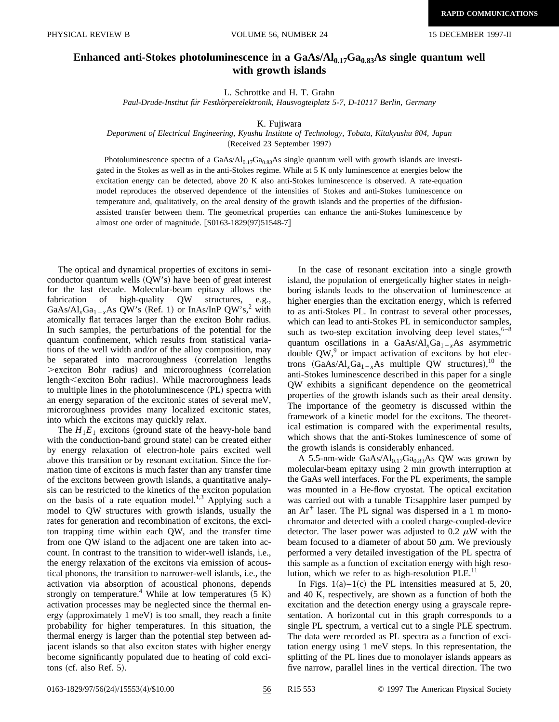## **Enhanced anti-Stokes photoluminescence in a**  $GaAs/Al_{0.17}Ga_{0.83}As$  **single quantum well with growth islands**

L. Schrottke and H. T. Grahn

*Paul-Drude-Institut fu¨r Festko¨rperelektronik, Hausvogteiplatz 5-7, D-10117 Berlin, Germany*

## K. Fujiwara

*Department of Electrical Engineering, Kyushu Institute of Technology, Tobata, Kitakyushu 804, Japan*

(Received 23 September 1997)

Photoluminescence spectra of a  $GaAs/Al<sub>0.17</sub>Ga<sub>0.83</sub>As single quantum well with growth islands are investi$ gated in the Stokes as well as in the anti-Stokes regime. While at 5 K only luminescence at energies below the excitation energy can be detected, above 20 K also anti-Stokes luminescence is observed. A rate-equation model reproduces the observed dependence of the intensities of Stokes and anti-Stokes luminescence on temperature and, qualitatively, on the areal density of the growth islands and the properties of the diffusionassisted transfer between them. The geometrical properties can enhance the anti-Stokes luminescence by almost one order of magnitude.  $[$0163-1829(97)51548-7]$ 

The optical and dynamical properties of excitons in semiconductor quantum wells  $(QW's)$  have been of great interest for the last decade. Molecular-beam epitaxy allows the fabrication of high-quality QW structures, e.g., GaAs/Al<sub>x</sub>Ga<sub>1-x</sub>As QW's (Ref. 1) or InAs/InP QW's,<sup>2</sup> with atomically flat terraces larger than the exciton Bohr radius. In such samples, the perturbations of the potential for the quantum confinement, which results from statistical variations of the well width and/or of the alloy composition, may be separated into macroroughness (correlation lengths  $\ge$ exciton Bohr radius) and microroughness (correlation length<exciton Bohr radius). While macroroughness leads to multiple lines in the photoluminescence (PL) spectra with an energy separation of the excitonic states of several meV, microroughness provides many localized excitonic states, into which the excitons may quickly relax.

The  $H_1E_1$  excitons (ground state of the heavy-hole band with the conduction-band ground state) can be created either by energy relaxation of electron-hole pairs excited well above this transition or by resonant excitation. Since the formation time of excitons is much faster than any transfer time of the excitons between growth islands, a quantitative analysis can be restricted to the kinetics of the exciton population on the basis of a rate equation model.<sup>1,3</sup> Applying such a model to QW structures with growth islands, usually the rates for generation and recombination of excitons, the exciton trapping time within each QW, and the transfer time from one QW island to the adjacent one are taken into account. In contrast to the transition to wider-well islands, i.e., the energy relaxation of the excitons via emission of acoustical phonons, the transition to narrower-well islands, i.e., the activation via absorption of acoustical phonons, depends strongly on temperature.<sup>4</sup> While at low temperatures  $(5 K)$ activation processes may be neglected since the thermal energy (approximately  $1 \text{ meV}$ ) is too small, they reach a finite probability for higher temperatures. In this situation, the thermal energy is larger than the potential step between adjacent islands so that also exciton states with higher energy become significantly populated due to heating of cold exci $t$ ons (cf. also Ref. 5).

In the case of resonant excitation into a single growth island, the population of energetically higher states in neighboring islands leads to the observation of luminescence at higher energies than the excitation energy, which is referred to as anti-Stokes PL. In contrast to several other processes, which can lead to anti-Stokes PL in semiconductor samples, such as two-step excitation involving deep level states,  $6-8$ quantum oscillations in a  $GaAs/Al<sub>x</sub>Ga<sub>1-x</sub>As$  asymmetric double  $QW$ ,  $\sigma$  or impact activation of excitons by hot electrons  $(GaAs/Al_xGa_{1-x}As$  multiple QW structures),<sup>10</sup> the anti-Stokes luminescence described in this paper for a single QW exhibits a significant dependence on the geometrical properties of the growth islands such as their areal density. The importance of the geometry is discussed within the framework of a kinetic model for the excitons. The theoretical estimation is compared with the experimental results, which shows that the anti-Stokes luminescence of some of the growth islands is considerably enhanced.

A 5.5-nm-wide GaAs/ $Al_{0.17}Ga_{0.83}As$  QW was grown by molecular-beam epitaxy using 2 min growth interruption at the GaAs well interfaces. For the PL experiments, the sample was mounted in a He-flow cryostat. The optical excitation was carried out with a tunable Ti:sapphire laser pumped by an  $Ar^+$  laser. The PL signal was dispersed in a 1 m monochromator and detected with a cooled charge-coupled-device detector. The laser power was adjusted to 0.2  $\mu$ W with the beam focused to a diameter of about 50  $\mu$ m. We previously performed a very detailed investigation of the PL spectra of this sample as a function of excitation energy with high resolution, which we refer to as high-resolution  $PLE<sup>11</sup>$ 

In Figs.  $1(a)-1(c)$  the PL intensities measured at 5, 20, and 40 K, respectively, are shown as a function of both the excitation and the detection energy using a grayscale representation. A horizontal cut in this graph corresponds to a single PL spectrum, a vertical cut to a single PLE spectrum. The data were recorded as PL spectra as a function of excitation energy using 1 meV steps. In this representation, the splitting of the PL lines due to monolayer islands appears as five narrow, parallel lines in the vertical direction. The two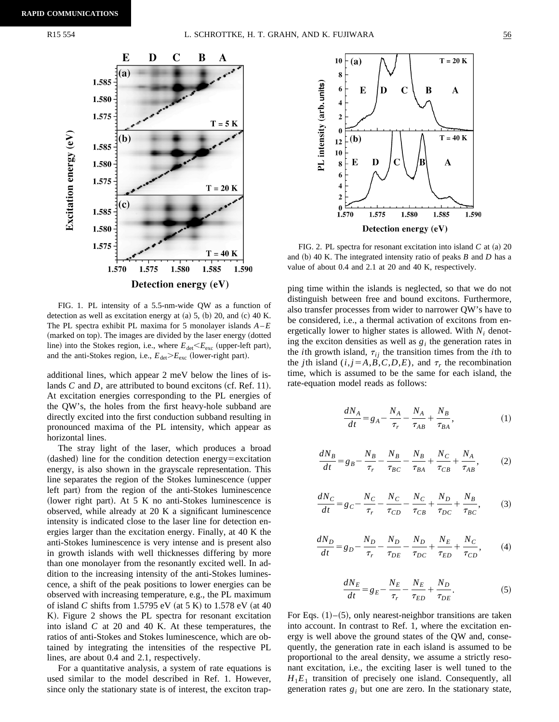



FIG. 2. PL spectra for resonant excitation into island  $C$  at (a) 20 and (b) 40 K. The integrated intensity ratio of peaks  $B$  and  $D$  has a value of about 0.4 and 2.1 at 20 and 40 K, respectively.

FIG. 1. PL intensity of a 5.5-nm-wide QW as a function of detection as well as excitation energy at (a)  $5$ , (b) 20, and (c) 40 K. The PL spectra exhibit PL maxima for 5 monolayer islands *A*–*E* (marked on top). The images are divided by the laser energy (dotted line) into the Stokes region, i.e., where  $E_{\text{det}} < E_{\text{exc}}$  (upper-left part), and the anti-Stokes region, i.e.,  $E_{\text{det}} > E_{\text{exc}}$  (lower-right part).

additional lines, which appear 2 meV below the lines of islands  $C$  and  $D$ , are attributed to bound excitons (cf. Ref. 11). At excitation energies corresponding to the PL energies of the QW's, the holes from the first heavy-hole subband are directly excited into the first conduction subband resulting in pronounced maxima of the PL intensity, which appear as horizontal lines.

The stray light of the laser, which produces a broad  $(dashed)$  line for the condition detection energy=excitation energy, is also shown in the grayscale representation. This line separates the region of the Stokes luminescence (upper left part) from the region of the anti-Stokes luminescence (lower right part). At  $5 K$  no anti-Stokes luminescence is observed, while already at 20 K a significant luminescence intensity is indicated close to the laser line for detection energies larger than the excitation energy. Finally, at 40 K the anti-Stokes luminescence is very intense and is present also in growth islands with well thicknesses differing by more than one monolayer from the resonantly excited well. In addition to the increasing intensity of the anti-Stokes luminescence, a shift of the peak positions to lower energies can be observed with increasing temperature, e.g., the PL maximum of island *C* shifts from 1.5795 eV (at 5 K) to 1.578 eV (at 40 K). Figure 2 shows the PL spectra for resonant excitation into island *C* at 20 and 40 K. At these temperatures, the ratios of anti-Stokes and Stokes luminescence, which are obtained by integrating the intensities of the respective PL lines, are about 0.4 and 2.1, respectively.

For a quantitative analysis, a system of rate equations is used similar to the model described in Ref. 1. However, since only the stationary state is of interest, the exciton trapping time within the islands is neglected, so that we do not distinguish between free and bound excitons. Furthermore, also transfer processes from wider to narrower QW's have to be considered, i.e., a thermal activation of excitons from energetically lower to higher states is allowed. With  $N_i$  denoting the exciton densities as well as  $g_i$  the generation rates in the *i*th growth island,  $\tau_{ij}$  the transition times from the *i*th to the *j*th island (*i*, *j* = *A*, *B*, *C*, *D*, *E*), and  $\tau_r$  the recombination time, which is assumed to be the same for each island, the rate-equation model reads as follows:

$$
\frac{dN_A}{dt} = g_A - \frac{N_A}{\tau_r} - \frac{N_A}{\tau_{AB}} + \frac{N_B}{\tau_{BA}},
$$
(1)

$$
\frac{dN_B}{dt} = g_B - \frac{N_B}{\tau_r} - \frac{N_B}{\tau_{BC}} - \frac{N_B}{\tau_{BA}} + \frac{N_C}{\tau_{CB}} + \frac{N_A}{\tau_{AB}},\tag{2}
$$

$$
\frac{dN_C}{dt} = g_C - \frac{N_C}{\tau_r} - \frac{N_C}{\tau_{CD}} - \frac{N_C}{\tau_{CB}} + \frac{N_D}{\tau_{DC}} + \frac{N_B}{\tau_{BC}},\tag{3}
$$

$$
\frac{dN_D}{dt} = g_D - \frac{N_D}{\tau_r} - \frac{N_D}{\tau_{DE}} - \frac{N_D}{\tau_{DC}} + \frac{N_E}{\tau_{ED}} + \frac{N_C}{\tau_{CD}},\tag{4}
$$

$$
\frac{dN_E}{dt} = g_E - \frac{N_E}{\tau_r} - \frac{N_E}{\tau_{ED}} + \frac{N_D}{\tau_{DE}}.\tag{5}
$$

For Eqs.  $(1)$ – $(5)$ , only nearest-neighbor transitions are taken into account. In contrast to Ref. 1, where the excitation energy is well above the ground states of the QW and, consequently, the generation rate in each island is assumed to be proportional to the areal density, we assume a strictly resonant excitation, i.e., the exciting laser is well tuned to the  $H_1E_1$  transition of precisely one island. Consequently, all generation rates  $g_i$  but one are zero. In the stationary state,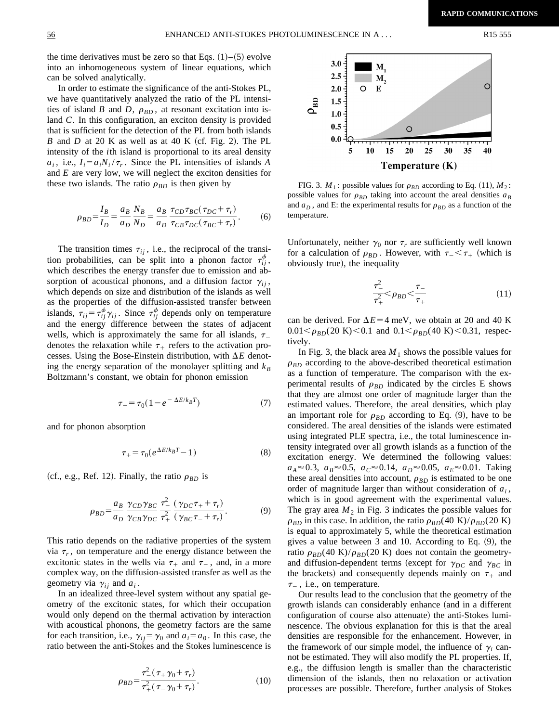In order to estimate the significance of the anti-Stokes PL, we have quantitatively analyzed the ratio of the PL intensities of island *B* and *D*,  $\rho_{BD}$ , at resonant excitation into island *C*. In this configuration, an exciton density is provided that is sufficient for the detection of the PL from both islands *B* and *D* at 20 K as well as at 40 K (cf. Fig. 2). The PL intensity of the *i*th island is proportional to its areal density  $a_i$ , i.e.,  $I_i = a_i N_i / \tau_r$ . Since the PL intensities of islands *A* and *E* are very low, we will neglect the exciton densities for these two islands. The ratio  $\rho_{BD}$  is then given by

$$
\rho_{BD} = \frac{I_B}{I_D} = \frac{a_B}{a_D} \frac{N_B}{N_D} = \frac{a_B}{a_D} \frac{\tau_{CD} \tau_{BC} (\tau_{DC} + \tau_r)}{\tau_{CB} \tau_{DC} (\tau_{BC} + \tau_r)}.
$$
(6)

The transition times  $\tau_{ij}$ , i.e., the reciprocal of the transition probabilities, can be split into a phonon factor  $\tau_{ij}^{\phi}$ , which describes the energy transfer due to emission and absorption of acoustical phonons, and a diffusion factor  $\gamma_{ii}$ , which depends on size and distribution of the islands as well as the properties of the diffusion-assisted transfer between islands,  $\tau_{ij} = \tau_{ij}^{\phi} \gamma_{ij}$ . Since  $\tau_{ij}^{\phi}$  depends only on temperature and the energy difference between the states of adjacent wells, which is approximately the same for all islands,  $\tau_{-}$ denotes the relaxation while  $\tau_+$  refers to the activation processes. Using the Bose-Einstein distribution, with  $\Delta E$  denoting the energy separation of the monolayer splitting and  $k_B$ Boltzmann's constant, we obtain for phonon emission

$$
\tau_{-} = \tau_0 (1 - e^{-\Delta E / k_B T}) \tag{7}
$$

and for phonon absorption

$$
\tau_{+} = \tau_0 (e^{\Delta E / k_B T} - 1) \tag{8}
$$

(cf., e.g., Ref. 12). Finally, the ratio  $\rho_{BD}$  is

$$
\rho_{BD} = \frac{a_B}{a_D} \frac{\gamma_{CD} \gamma_{BC}}{\gamma_{CB} \gamma_{DC}} \frac{\tau^2}{\tau^2_+} \frac{(\gamma_{DC} \tau_+ + \tau_r)}{(\gamma_{BC} \tau_- + \tau_r)}.
$$
(9)

This ratio depends on the radiative properties of the system via  $\tau_r$ , on temperature and the energy distance between the excitonic states in the wells via  $\tau_+$  and  $\tau_-$ , and, in a more complex way, on the diffusion-assisted transfer as well as the geometry via  $\gamma_{ij}$  and  $a_i$ .

In an idealized three-level system without any spatial geometry of the excitonic states, for which their occupation would only depend on the thermal activation by interaction with acoustical phonons, the geometry factors are the same for each transition, i.e.,  $\gamma_{ij} = \gamma_0$  and  $a_i = a_0$ . In this case, the ratio between the anti-Stokes and the Stokes luminescence is

$$
\rho_{BD} = \frac{\tau_{-}^{2}(\tau_{+}\gamma_{0} + \tau_{r})}{\tau_{+}^{2}(\tau_{-}\gamma_{0} + \tau_{r})}.
$$
\n(10)





FIG. 3.  $M_1$ : possible values for  $\rho_{BD}$  according to Eq. (11),  $M_2$ : possible values for  $\rho_{BD}$  taking into account the areal densities  $a_B$ and  $a_D$ , and E: the experimental results for  $\rho_{BD}$  as a function of the temperature.

Unfortunately, neither  $\gamma_0$  nor  $\tau_r$  are sufficiently well known for a calculation of  $\rho_{BD}$ . However, with  $\tau_{-} < \tau_{+}$  (which is obviously true), the inequality

$$
\frac{\tau_{-}^{2}}{\tau_{+}^{2}} < \rho_{BD} < \frac{\tau_{-}}{\tau_{+}}
$$
\n(11)

can be derived. For  $\Delta E = 4$  meV, we obtain at 20 and 40 K  $0.01 < \rho_{BD}(20 \text{ K}) < 0.1$  and  $0.1 < \rho_{BD}(40 \text{ K}) < 0.31$ , respectively.

In Fig. 3, the black area  $M_1$  shows the possible values for  $\rho_{BD}$  according to the above-described theoretical estimation as a function of temperature. The comparison with the experimental results of  $\rho_{BD}$  indicated by the circles E shows that they are almost one order of magnitude larger than the estimated values. Therefore, the areal densities, which play an important role for  $\rho_{BD}$  according to Eq. (9), have to be considered. The areal densities of the islands were estimated using integrated PLE spectra, i.e., the total luminescence intensity integrated over all growth islands as a function of the excitation energy. We determined the following values:  $a_A \approx 0.3$ ,  $a_B \approx 0.5$ ,  $a_C \approx 0.14$ ,  $a_D \approx 0.05$ ,  $a_E \approx 0.01$ . Taking these areal densities into account,  $\rho_{BD}$  is estimated to be one order of magnitude larger than without consideration of *ai* , which is in good agreement with the experimental values. The gray area  $M_2$  in Fig. 3 indicates the possible values for  $\rho_{BD}$  in this case. In addition, the ratio  $\rho_{BD}(40 \text{ K})/\rho_{BD}(20 \text{ K})$ is equal to approximately 5, while the theoretical estimation gives a value between  $3$  and  $10$ . According to Eq.  $(9)$ , the ratio  $\rho_{BD}(40 \text{ K})/\rho_{BD}(20 \text{ K})$  does not contain the geometryand diffusion-dependent terms (except for  $\gamma_{DC}$  and  $\gamma_{BC}$  in the brackets) and consequently depends mainly on  $\tau_+$  and  $\tau_{-}$ , i.e., on temperature.

Our results lead to the conclusion that the geometry of the growth islands can considerably enhance (and in a different configuration of course also attenuate) the anti-Stokes luminescence. The obvious explanation for this is that the areal densities are responsible for the enhancement. However, in the framework of our simple model, the influence of  $\gamma_i$  cannot be estimated. They will also modify the PL properties. If, e.g., the diffusion length is smaller than the characteristic dimension of the islands, then no relaxation or activation processes are possible. Therefore, further analysis of Stokes